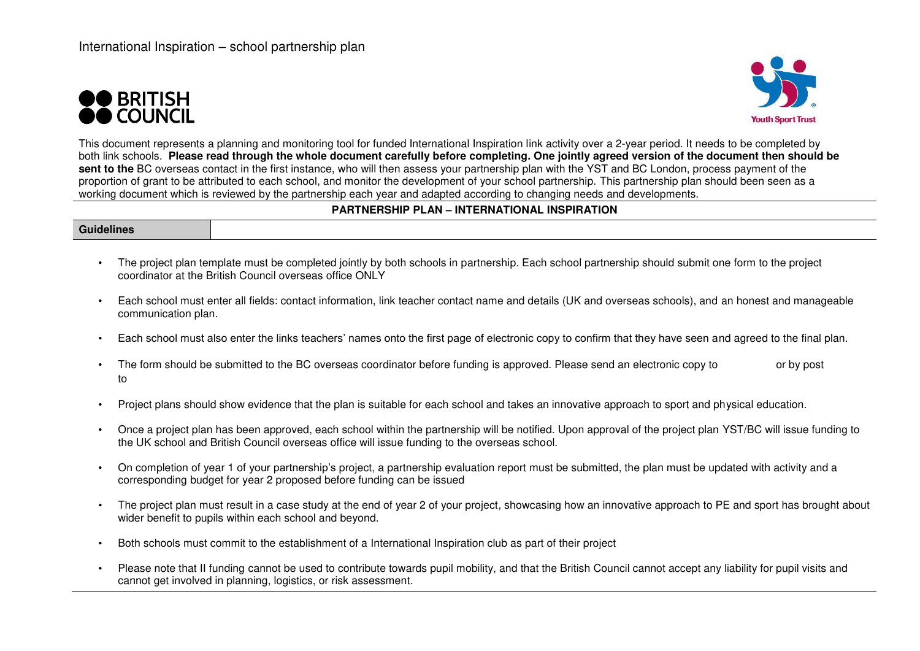



This document represents a planning and monitoring tool for funded International Inspiration link activity over a 2-year period. It needs to be completed by both link schools. **Please read through the whole document carefully before completing. One jointly agreed version of the document then should be sent to the** BC overseas contact in the first instance, who will then assess your partnership plan with the YST and BC London, process payment of the proportion of grant to be attributed to each school, and monitor the development of your school partnership. This partnership plan should been seen as a working document which is reviewed by the partnership each year and adapted according to changing needs and developments.

#### **PARTNERSHIP PLAN – INTERNATIONAL INSPIRATION**

**Guidelines** 

- The project plan template must be completed jointly by both schools in partnership. Each school partnership should submit one form to the project coordinator at the British Council overseas office ONLY
- Each school must enter all fields: contact information, link teacher contact name and details (UK and overseas schools), and an honest and manageable communication plan.
- Each school must also enter the links teachers' names onto the first page of electronic copy to confirm that they have seen and agreed to the final plan.
- The form should be submitted to the BC overseas coordinator before funding is approved. Please send an electronic copy to or by post to
- Project plans should show evidence that the plan is suitable for each school and takes an innovative approach to sport and physical education.
- Once a project plan has been approved, each school within the partnership will be notified. Upon approval of the project plan YST/BC will issue funding to the UK school and British Council overseas office will issue funding to the overseas school.
- On completion of year 1 of your partnership's project, a partnership evaluation report must be submitted, the plan must be updated with activity and a corresponding budget for year 2 proposed before funding can be issued
- The project plan must result in a case study at the end of year 2 of your project, showcasing how an innovative approach to PE and sport has brought about wider benefit to pupils within each school and beyond.
- Both schools must commit to the establishment of a International Inspiration club as part of their project
- Please note that II funding cannot be used to contribute towards pupil mobility, and that the British Council cannot accept any liability for pupil visits and cannot get involved in planning, logistics, or risk assessment.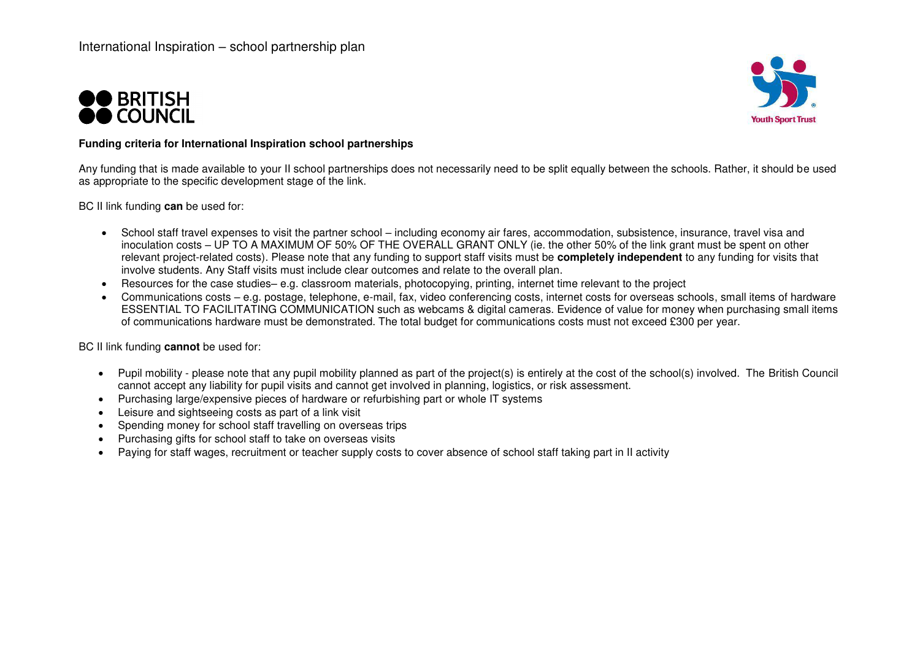



#### **Funding criteria for International Inspiration school partnerships**

Any funding that is made available to your II school partnerships does not necessarily need to be split equally between the schools. Rather, it should be used as appropriate to the specific development stage of the link.

BC II link funding **can** be used for:

- School staff travel expenses to visit the partner school including economy air fares, accommodation, subsistence, insurance, travel visa and inoculation costs – UP TO A MAXIMUM OF 50% OF THE OVERALL GRANT ONLY (ie. the other 50% of the link grant must be spent on other relevant project-related costs). Please note that any funding to support staff visits must be **completely independent** to any funding for visits that involve students. Any Staff visits must include clear outcomes and relate to the overall plan.
- Resources for the case studies– e.g. classroom materials, photocopying, printing, internet time relevant to the project
- Communications costs e.g. postage, telephone, e-mail, fax, video conferencing costs, internet costs for overseas schools, small items of hardware ESSENTIAL TO FACILITATING COMMUNICATION such as webcams & digital cameras. Evidence of value for money when purchasing small items of communications hardware must be demonstrated. The total budget for communications costs must not exceed £300 per year.

BC II link funding **cannot** be used for:

- Pupil mobility please note that any pupil mobility planned as part of the project(s) is entirely at the cost of the school(s) involved. The British Council cannot accept any liability for pupil visits and cannot get involved in planning, logistics, or risk assessment.
- Purchasing large/expensive pieces of hardware or refurbishing part or whole IT systems
- Leisure and sightseeing costs as part of a link visit
- Spending money for school staff travelling on overseas trips
- Purchasing gifts for school staff to take on overseas visits
- Paying for staff wages, recruitment or teacher supply costs to cover absence of school staff taking part in II activity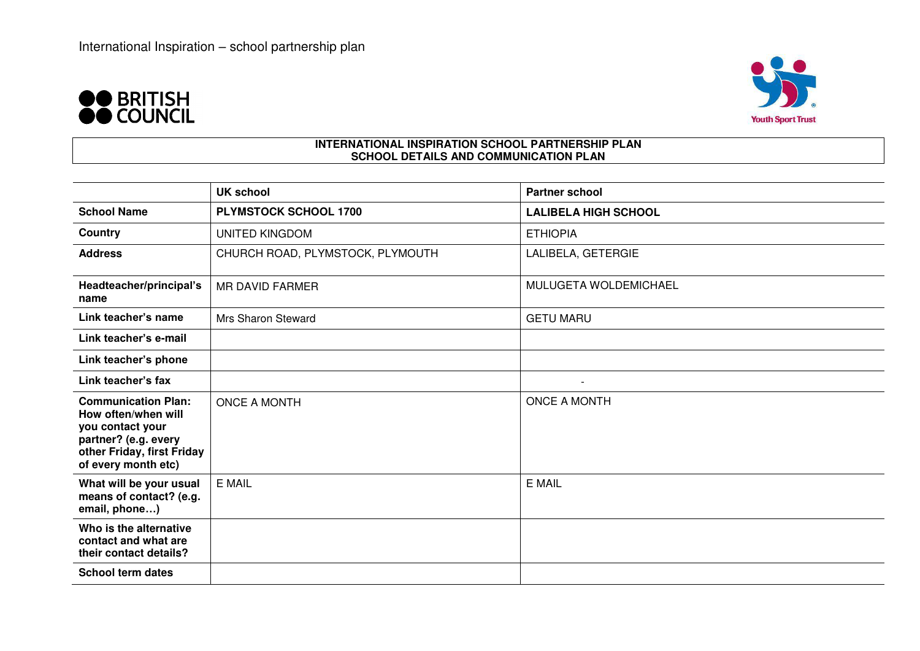



### **INTERNATIONAL INSPIRATION SCHOOL PARTNERSHIP PLAN SCHOOL DETAILS AND COMMUNICATION PLAN**

|                                                                                                                                                    | <b>UK school</b>                 | <b>Partner school</b>       |
|----------------------------------------------------------------------------------------------------------------------------------------------------|----------------------------------|-----------------------------|
| <b>School Name</b>                                                                                                                                 | PLYMSTOCK SCHOOL 1700            | <b>LALIBELA HIGH SCHOOL</b> |
| Country                                                                                                                                            | <b>UNITED KINGDOM</b>            | <b>ETHIOPIA</b>             |
| <b>Address</b>                                                                                                                                     | CHURCH ROAD, PLYMSTOCK, PLYMOUTH | LALIBELA, GETERGIE          |
| Headteacher/principal's<br>name                                                                                                                    | <b>MR DAVID FARMER</b>           | MULUGETA WOLDEMICHAEL       |
| Link teacher's name                                                                                                                                | Mrs Sharon Steward               | <b>GETU MARU</b>            |
| Link teacher's e-mail                                                                                                                              |                                  |                             |
| Link teacher's phone                                                                                                                               |                                  |                             |
| Link teacher's fax                                                                                                                                 |                                  |                             |
| <b>Communication Plan:</b><br>How often/when will<br>you contact your<br>partner? (e.g. every<br>other Friday, first Friday<br>of every month etc) | <b>ONCE A MONTH</b>              | <b>ONCE A MONTH</b>         |
| What will be your usual<br>means of contact? (e.g.<br>email, phone)                                                                                | E MAIL                           | E MAIL                      |
| Who is the alternative<br>contact and what are<br>their contact details?                                                                           |                                  |                             |
| <b>School term dates</b>                                                                                                                           |                                  |                             |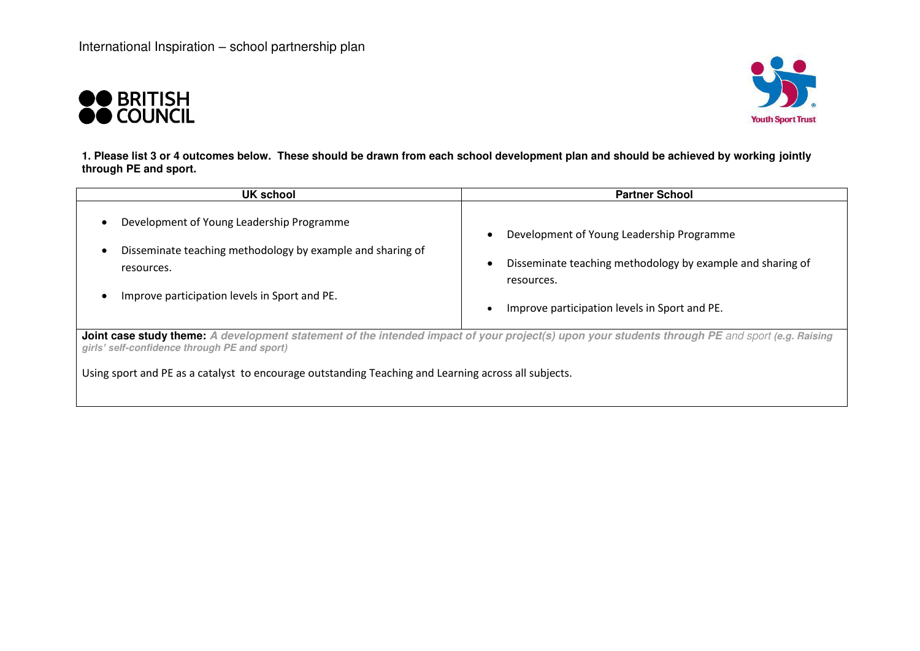



**1. Please list 3 or 4 outcomes below. These should be drawn from each school development plan and should be achieved by working jointly through PE and sport.** 

| UK school                                                                                                                                                                                       | <b>Partner School</b>                                                                                                 |  |  |
|-------------------------------------------------------------------------------------------------------------------------------------------------------------------------------------------------|-----------------------------------------------------------------------------------------------------------------------|--|--|
| Development of Young Leadership Programme<br>Disseminate teaching methodology by example and sharing of<br>resources.                                                                           | Development of Young Leadership Programme<br>Disseminate teaching methodology by example and sharing of<br>resources. |  |  |
| Improve participation levels in Sport and PE.                                                                                                                                                   | Improve participation levels in Sport and PE.                                                                         |  |  |
| Joint case study theme: A development statement of the intended impact of your project(s) upon your students through PE and sport (e.g. Raising<br>girls' self-confidence through PE and sport) |                                                                                                                       |  |  |
| Using sport and PE as a catalyst to encourage outstanding Teaching and Learning across all subjects.                                                                                            |                                                                                                                       |  |  |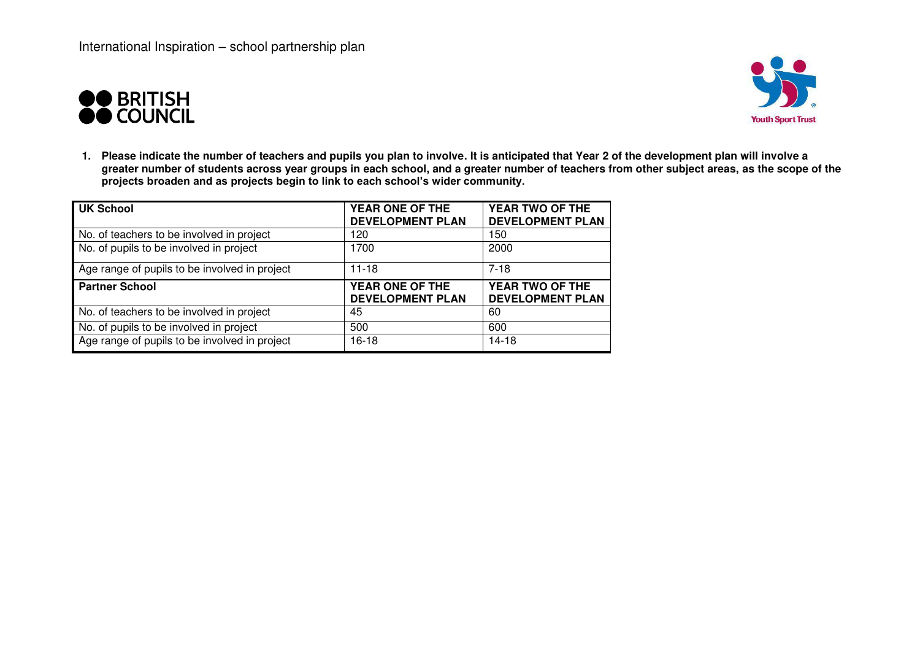



**1. Please indicate the number of teachers and pupils you plan to involve. It is anticipated that Year 2 of the development plan will involve a greater number of students across year groups in each school, and a greater number of teachers from other subject areas, as the scope of the projects broaden and as projects begin to link to each school's wider community.**

| <b>UK School</b>                              | YEAR ONE OF THE<br><b>DEVELOPMENT PLAN</b> | YEAR TWO OF THE<br><b>DEVELOPMENT PLAN</b> |
|-----------------------------------------------|--------------------------------------------|--------------------------------------------|
| No. of teachers to be involved in project     | 120                                        | 150                                        |
| No. of pupils to be involved in project       | 1700                                       | 2000                                       |
| Age range of pupils to be involved in project | $11 - 18$                                  | $7 - 18$                                   |
| <b>Partner School</b>                         | YEAR ONE OF THE<br><b>DEVELOPMENT PLAN</b> | YEAR TWO OF THE<br><b>DEVELOPMENT PLAN</b> |
| No. of teachers to be involved in project     | 45                                         | 60                                         |
| No. of pupils to be involved in project       | 500                                        | 600                                        |
| Age range of pupils to be involved in project | 16-18                                      | 14-18                                      |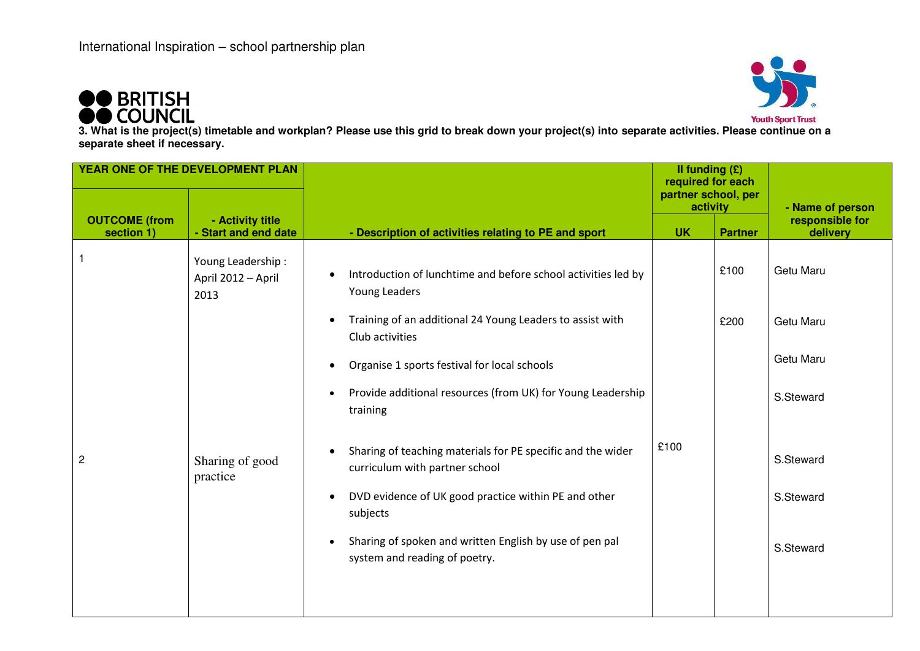



**3. What is the project(s) timetable and workplan? Please use this grid to break down your project(s) into separate activities. Please continue on a separate sheet if necessary.** 

| YEAR ONE OF THE DEVELOPMENT PLAN   |                                                 |                                                                                                            | Il funding $(E)$<br>required for each |                |                             |
|------------------------------------|-------------------------------------------------|------------------------------------------------------------------------------------------------------------|---------------------------------------|----------------|-----------------------------|
|                                    |                                                 |                                                                                                            | partner school, per<br>activity       |                | - Name of person            |
| <b>OUTCOME</b> (from<br>section 1) | - Activity title<br>- Start and end date        | - Description of activities relating to PE and sport                                                       | <b>UK</b>                             | <b>Partner</b> | responsible for<br>delivery |
|                                    | Young Leadership:<br>April 2012 - April<br>2013 | Introduction of lunchtime and before school activities led by<br>$\bullet$<br>Young Leaders                |                                       | £100           | Getu Maru                   |
|                                    |                                                 | Training of an additional 24 Young Leaders to assist with<br>$\bullet$<br>Club activities                  |                                       | £200           | Getu Maru                   |
|                                    |                                                 | Organise 1 sports festival for local schools<br>$\bullet$                                                  |                                       |                | Getu Maru                   |
|                                    |                                                 | Provide additional resources (from UK) for Young Leadership<br>$\bullet$<br>training                       |                                       |                | S.Steward                   |
| $\overline{c}$                     | Sharing of good<br>practice                     | Sharing of teaching materials for PE specific and the wider<br>$\bullet$<br>curriculum with partner school | £100                                  |                | S.Steward                   |
|                                    |                                                 | DVD evidence of UK good practice within PE and other<br>$\bullet$<br>subjects                              |                                       |                | S.Steward                   |
|                                    |                                                 | Sharing of spoken and written English by use of pen pal<br>$\bullet$<br>system and reading of poetry.      |                                       |                | S.Steward                   |
|                                    |                                                 |                                                                                                            |                                       |                |                             |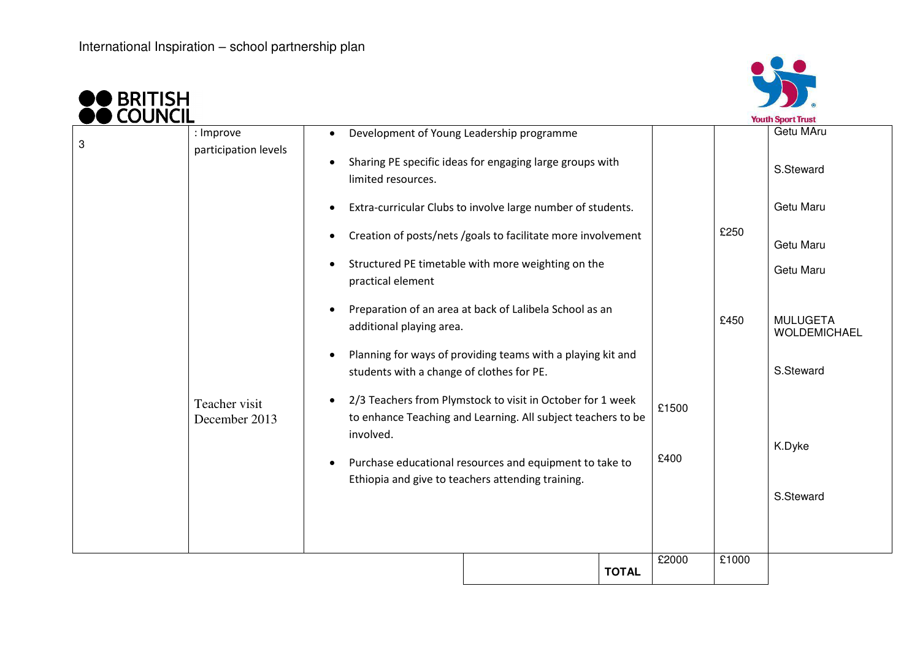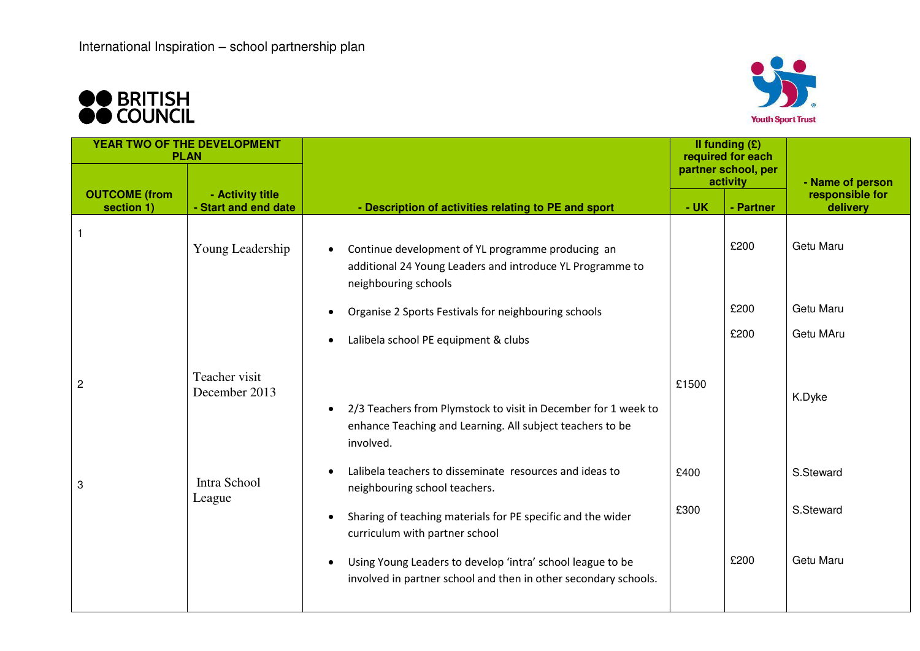



| YEAR TWO OF THE DEVELOPMENT<br><b>PLAN</b> |                                          |                                                                                                                                          | Il funding $(E)$<br>required for each |                                 |                             |
|--------------------------------------------|------------------------------------------|------------------------------------------------------------------------------------------------------------------------------------------|---------------------------------------|---------------------------------|-----------------------------|
|                                            |                                          |                                                                                                                                          |                                       | partner school, per<br>activity | - Name of person            |
| <b>OUTCOME</b> (from<br>section 1)         | - Activity title<br>- Start and end date | - Description of activities relating to PE and sport                                                                                     | $-UK$                                 | - Partner                       | responsible for<br>delivery |
|                                            | Young Leadership                         | Continue development of YL programme producing an<br>additional 24 Young Leaders and introduce YL Programme to<br>neighbouring schools   |                                       | £200                            | Getu Maru                   |
|                                            |                                          | Organise 2 Sports Festivals for neighbouring schools                                                                                     |                                       | £200                            | Getu Maru                   |
|                                            |                                          | Lalibela school PE equipment & clubs                                                                                                     |                                       | £200                            | Getu MAru                   |
| $\overline{c}$                             | Teacher visit<br>December 2013           | 2/3 Teachers from Plymstock to visit in December for 1 week to<br>enhance Teaching and Learning. All subject teachers to be<br>involved. | £1500                                 |                                 | K.Dyke                      |
| 3                                          | Intra School                             | Lalibela teachers to disseminate resources and ideas to<br>neighbouring school teachers.                                                 | £400                                  |                                 | S.Steward                   |
|                                            | League                                   | Sharing of teaching materials for PE specific and the wider<br>curriculum with partner school                                            | £300                                  |                                 | S.Steward                   |
|                                            |                                          | Using Young Leaders to develop 'intra' school league to be<br>involved in partner school and then in other secondary schools.            |                                       | £200                            | Getu Maru                   |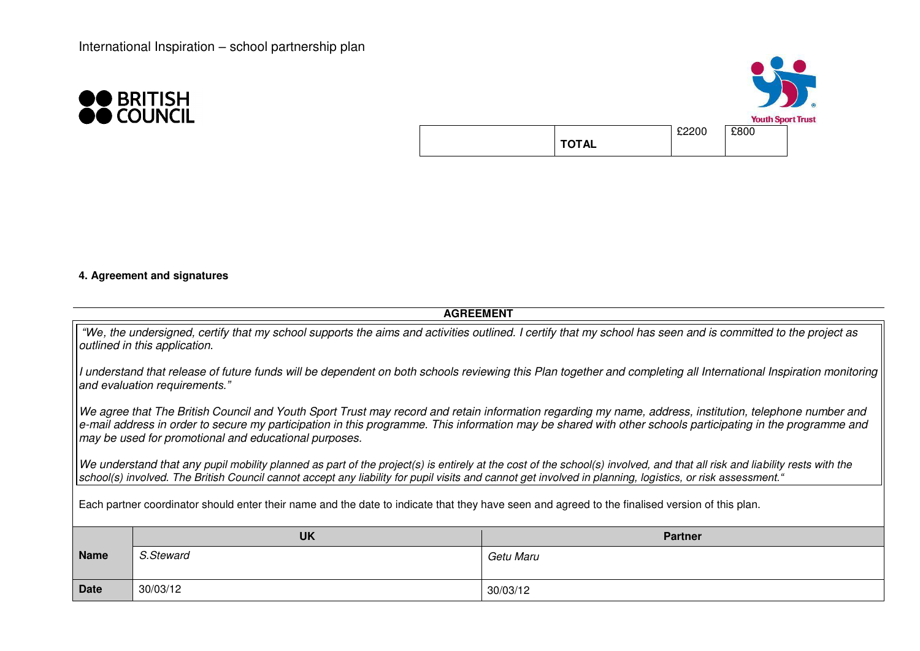



## **4. Agreement and signatures**

| <b>AGREEMENT</b>                                                                                                                                                                                                                                                                                                                                                                                                                                                                                                                                            |                             |           |  |  |
|-------------------------------------------------------------------------------------------------------------------------------------------------------------------------------------------------------------------------------------------------------------------------------------------------------------------------------------------------------------------------------------------------------------------------------------------------------------------------------------------------------------------------------------------------------------|-----------------------------|-----------|--|--|
| "We, the undersigned, certify that my school supports the aims and activities outlined. I certify that my school has seen and is committed to the project as<br>outlined in this application.                                                                                                                                                                                                                                                                                                                                                               |                             |           |  |  |
| I understand that release of future funds will be dependent on both schools reviewing this Plan together and completing all International Inspiration monitoring<br>and evaluation requirements."                                                                                                                                                                                                                                                                                                                                                           |                             |           |  |  |
| We agree that The British Council and Youth Sport Trust may record and retain information regarding my name, address, institution, telephone number and<br>e-mail address in order to secure my participation in this programme. This information may be shared with other schools participating in the programme and<br>may be used for promotional and educational purposes.<br>We understand that any pupil mobility planned as part of the project(s) is entirely at the cost of the school(s) involved, and that all risk and liability rests with the |                             |           |  |  |
| school(s) involved. The British Council cannot accept any liability for pupil visits and cannot get involved in planning, logistics, or risk assessment."                                                                                                                                                                                                                                                                                                                                                                                                   |                             |           |  |  |
| Each partner coordinator should enter their name and the date to indicate that they have seen and agreed to the finalised version of this plan.                                                                                                                                                                                                                                                                                                                                                                                                             |                             |           |  |  |
|                                                                                                                                                                                                                                                                                                                                                                                                                                                                                                                                                             | <b>UK</b><br><b>Partner</b> |           |  |  |
| <b>Name</b>                                                                                                                                                                                                                                                                                                                                                                                                                                                                                                                                                 | S.Steward                   | Getu Maru |  |  |
| <b>Date</b>                                                                                                                                                                                                                                                                                                                                                                                                                                                                                                                                                 | 30/03/12<br>30/03/12        |           |  |  |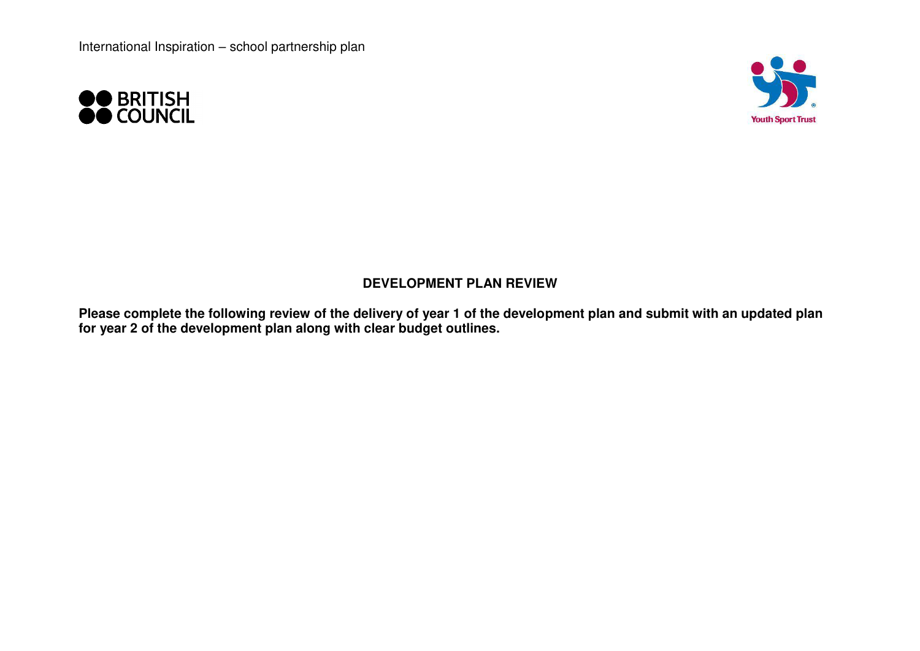



## **DEVELOPMENT PLAN REVIEW**

**Please complete the following review of the delivery of year 1 of the development plan and submit with an updated plan for year 2 of the development plan along with clear budget outlines.**